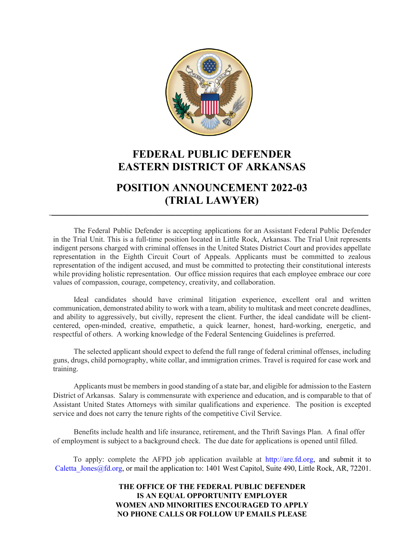

# **FEDERAL PUBLIC DEFENDER EASTERN DISTRICT OF ARKANSAS**

# **POSITION ANNOUNCEMENT 2022-03 (TRIAL LAWYER)**

 $\_$  . The contribution of the contribution of the contribution of the contribution of the contribution of the contribution of the contribution of the contribution of the contribution of the contribution of the contributio

The Federal Public Defender is accepting applications for an Assistant Federal Public Defender in the Trial Unit. This is a full-time position located in Little Rock, Arkansas. The Trial Unit represents indigent persons charged with criminal offenses in the United States District Court and provides appellate representation in the Eighth Circuit Court of Appeals. Applicants must be committed to zealous representation of the indigent accused, and must be committed to protecting their constitutional interests while providing holistic representation. Our office mission requires that each employee embrace our core values of compassion, courage, competency, creativity, and collaboration.

Ideal candidates should have criminal litigation experience, excellent oral and written communication, demonstrated ability to work with a team, ability to multitask and meet concrete deadlines, and ability to aggressively, but civilly, represent the client. Further, the ideal candidate will be clientcentered, open-minded, creative, empathetic, a quick learner, honest, hard-working, energetic, and respectful of others. A working knowledge of the Federal Sentencing Guidelines is preferred.

The selected applicant should expect to defend the full range of federal criminal offenses, including guns, drugs, child pornography, white collar, and immigration crimes. Travel is required for case work and training.

Applicants must be members in good standing of a state bar, and eligible for admission to the Eastern District of Arkansas. Salary is commensurate with experience and education, and is comparable to that of Assistant United States Attorneys with similar qualifications and experience. The position is excepted service and does not carry the tenure rights of the competitive Civil Service.

Benefits include health and life insurance, retirement, and the Thrift Savings Plan. A final offer of employment is subject to a background check. The due date for applications is opened until filled.

To apply: complete the AFPD job application available at [http://are.fd.org,](http://are.fd.org/) and submit it to Caletta Jones@fd.org, or mail the application to: 1401 West Capitol, Suite 490, Little Rock, AR, 72201.

#### **THE OFFICE OF THE FEDERAL PUBLIC DEFENDER IS AN EQUAL OPPORTUNITY EMPLOYER WOMEN AND MINORITIES ENCOURAGED TO APPLY NO PHONE CALLS OR FOLLOW UP EMAILS PLEASE**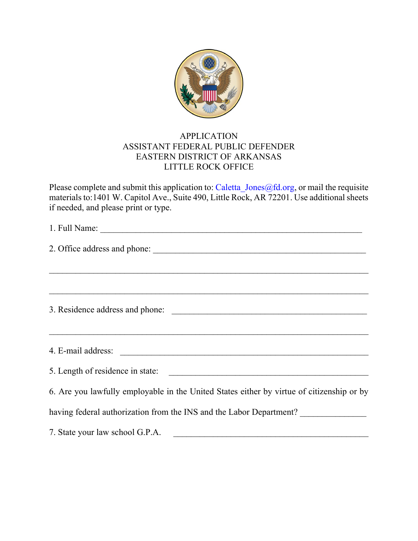

### APPLICATION ASSISTANT FEDERAL PUBLIC DEFENDER EASTERN DISTRICT OF ARKANSAS LITTLE ROCK OFFICE

Please complete and submit this application to: Caletta Jones@fd.org, or mail the requisite materials to:1401 W. Capitol Ave., Suite 490, Little Rock, AR 72201. Use additional sheets if needed, and please print or type.

| ,我们也不会有什么。""我们的人,我们也不会有什么?""我们的人,我们也不会有什么?""我们的人,我们也不会有什么?""我们的人,我们也不会有什么?""我们的人<br><b>一个人的人,我们也不能在这个人的人,我们也不能在这个人的人,我们也不能在这个人的人,我们也不能在这个人的人,我们也不能在这个人的人,我们</b> 也不能在这个人的人,我们 |
|------------------------------------------------------------------------------------------------------------------------------------------------------------------------------|
| 4. E-mail address:                                                                                                                                                           |
|                                                                                                                                                                              |
| 6. Are you lawfully employable in the United States either by virtue of citizenship or by                                                                                    |
| having federal authorization from the INS and the Labor Department?                                                                                                          |
| 7. State your law school G.P.A.                                                                                                                                              |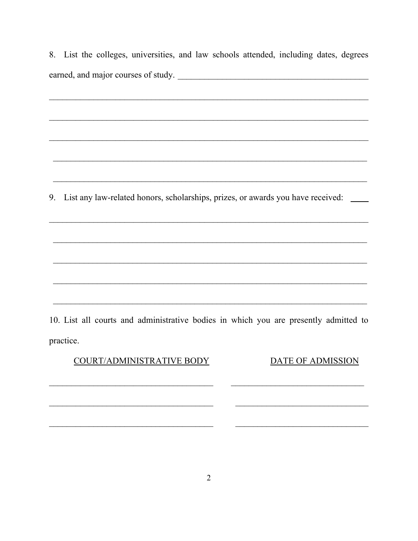8. List the colleges, universities, and law schools attended, including dates, degrees earned, and major courses of study.

9. List any law-related honors, scholarships, prizes, or awards you have received: \_\_\_\_

10. List all courts and administrative bodies in which you are presently admitted to practice.

COURT/ADMINISTRATIVE BODY

DATE OF ADMISSION

 $\overline{\phantom{a}}$ 

 $\overline{\phantom{0}}$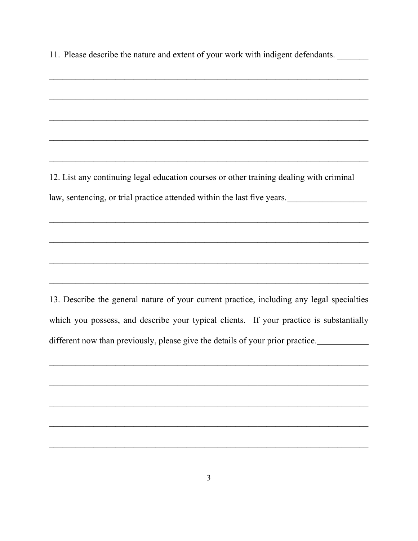11. Please describe the nature and extent of your work with indigent defendants.

12. List any continuing legal education courses or other training dealing with criminal law, sentencing, or trial practice attended within the last five years.

13. Describe the general nature of your current practice, including any legal specialties which you possess, and describe your typical clients. If your practice is substantially different now than previously, please give the details of your prior practice.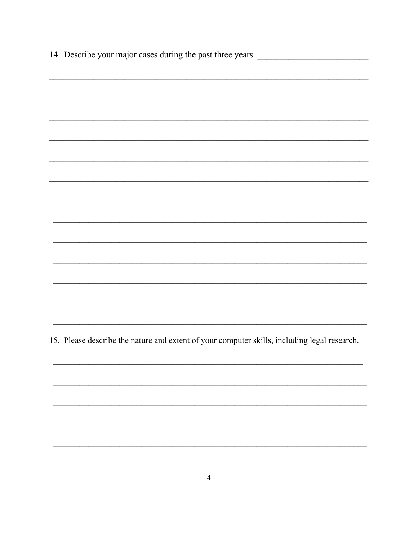14. Describe your major cases during the past three years. 

15. Please describe the nature and extent of your computer skills, including legal research.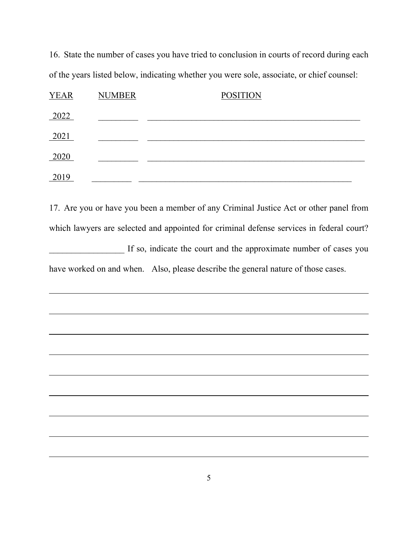16. State the number of cases you have tried to conclusion in courts of record during each of the years listed below, indicating whether you were sole, associate, or chief counsel:

| <b>YEAR</b> | <b>NUMBER</b> | <b>POSITION</b> |
|-------------|---------------|-----------------|
| 2022        |               |                 |
| 2021        |               |                 |
| 2020        |               |                 |
| 2019        |               |                 |

17. Are you or have you been a member of any Criminal Justice Act or other panel from which lawyers are selected and appointed for criminal defense services in federal court? If so, indicate the court and the approximate number of cases you have worked on and when. Also, please describe the general nature of those cases.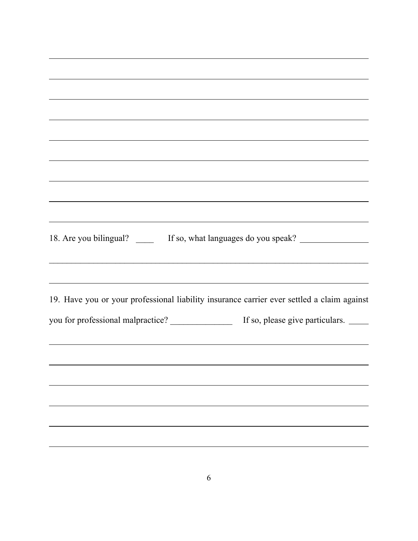| <u> 1989 - Johann Harry Harry Harry Harry Harry Harry Harry Harry Harry Harry Harry Harry Harry Harry Harry Harry</u>                                                |                                 |
|----------------------------------------------------------------------------------------------------------------------------------------------------------------------|---------------------------------|
|                                                                                                                                                                      |                                 |
|                                                                                                                                                                      |                                 |
|                                                                                                                                                                      |                                 |
|                                                                                                                                                                      |                                 |
| ,我们也不会有什么。""我们的人,我们也不会有什么?""我们的人,我们也不会有什么?""我们的人,我们也不会有什么?""我们的人,我们也不会有什么?""我们的人                                                                                     |                                 |
| ,我们也不会有什么。""我们的人,我们也不会有什么?""我们的人,我们也不会有什么?""我们的人,我们也不会有什么?""我们的人,我们也不会有什么?""我们的人                                                                                     |                                 |
| ,我们也不会有什么。""我们的人,我们也不会有什么?""我们的人,我们也不会有什么?""我们的人,我们也不会有什么?""我们的人,我们也不会有什么?""我们的人<br>18. Are you bilingual? _______ If so, what languages do you speak? _____________ |                                 |
| <u> 1989 - Johann Stoff, deutscher Stoffen und der Stoffen und der Stoffen und der Stoffen und der Stoffen und de</u>                                                |                                 |
| 19. Have you or your professional liability insurance carrier ever settled a claim against                                                                           |                                 |
| you for professional malpractice? _______________                                                                                                                    | If so, please give particulars. |
|                                                                                                                                                                      |                                 |
|                                                                                                                                                                      |                                 |
|                                                                                                                                                                      |                                 |
|                                                                                                                                                                      |                                 |
|                                                                                                                                                                      |                                 |
|                                                                                                                                                                      |                                 |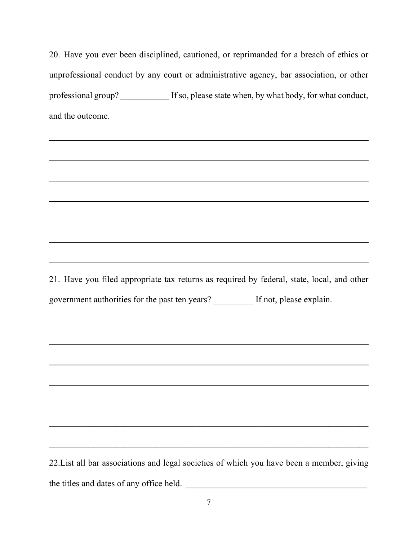|                                          | 20. Have you ever been disciplined, cautioned, or reprimanded for a breach of ethics or    |
|------------------------------------------|--------------------------------------------------------------------------------------------|
|                                          | unprofessional conduct by any court or administrative agency, bar association, or other    |
|                                          | professional group? ___________ If so, please state when, by what body, for what conduct,  |
|                                          | and the outcome.                                                                           |
|                                          |                                                                                            |
|                                          |                                                                                            |
|                                          |                                                                                            |
|                                          |                                                                                            |
|                                          |                                                                                            |
|                                          |                                                                                            |
|                                          | ,我们也不会有什么。""我们的人,我们也不会有什么?""我们的人,我们也不会有什么?""我们的人,我们也不会有什么?""我们的人,我们也不会有什么?""我们的人           |
|                                          | 21. Have you filed appropriate tax returns as required by federal, state, local, and other |
|                                          | government authorities for the past ten years? ________ If not, please explain. ______     |
|                                          |                                                                                            |
|                                          |                                                                                            |
|                                          |                                                                                            |
|                                          |                                                                                            |
|                                          |                                                                                            |
|                                          |                                                                                            |
|                                          |                                                                                            |
|                                          | 22. List all bar associations and legal societies of which you have been a member, giving  |
| the titles and dates of any office held. |                                                                                            |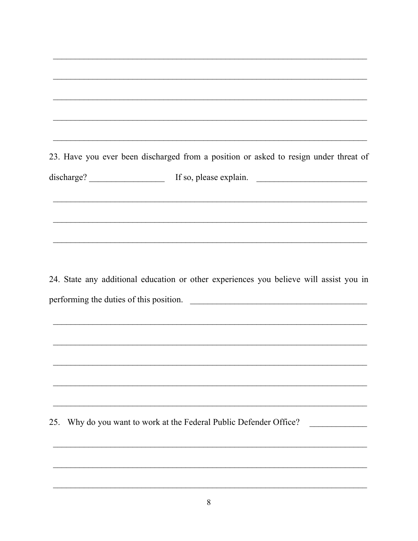23. Have you ever been discharged from a position or asked to resign under threat of discharge? If so, please explain. 24. State any additional education or other experiences you believe will assist you in performing the duties of this position.

25. Why do you want to work at the Federal Public Defender Office?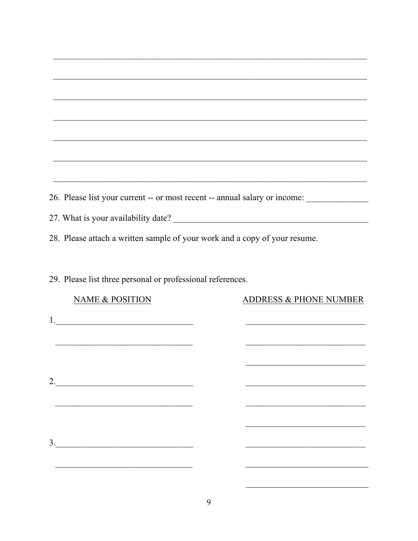| ,我们也不会有什么。""我们的人,我们也不会有什么?""我们的人,我们也不会有什么?""我们的人,我们也不会有什么?""我们的人,我们也不会有什么?""我们的人 |  |                                                                                                                      |  |  |  |  |
|----------------------------------------------------------------------------------|--|----------------------------------------------------------------------------------------------------------------------|--|--|--|--|
|                                                                                  |  |                                                                                                                      |  |  |  |  |
| 26. Please list your current -- or most recent -- annual salary or income:       |  |                                                                                                                      |  |  |  |  |
|                                                                                  |  |                                                                                                                      |  |  |  |  |
| 28. Please attach a written sample of your work and a copy of your resume.       |  |                                                                                                                      |  |  |  |  |
|                                                                                  |  |                                                                                                                      |  |  |  |  |
| 29. Please list three personal or professional references.                       |  |                                                                                                                      |  |  |  |  |
| <b>NAME &amp; POSITION</b>                                                       |  | <b>ADDRESS &amp; PHONE NUMBER</b>                                                                                    |  |  |  |  |
|                                                                                  |  |                                                                                                                      |  |  |  |  |
|                                                                                  |  |                                                                                                                      |  |  |  |  |
|                                                                                  |  | <u> 2002 - Jan James James Jan James James James James James James James James James James James James James Jam</u> |  |  |  |  |
|                                                                                  |  |                                                                                                                      |  |  |  |  |
|                                                                                  |  |                                                                                                                      |  |  |  |  |
|                                                                                  |  |                                                                                                                      |  |  |  |  |
| $\frac{3}{2}$                                                                    |  |                                                                                                                      |  |  |  |  |
|                                                                                  |  |                                                                                                                      |  |  |  |  |
|                                                                                  |  |                                                                                                                      |  |  |  |  |